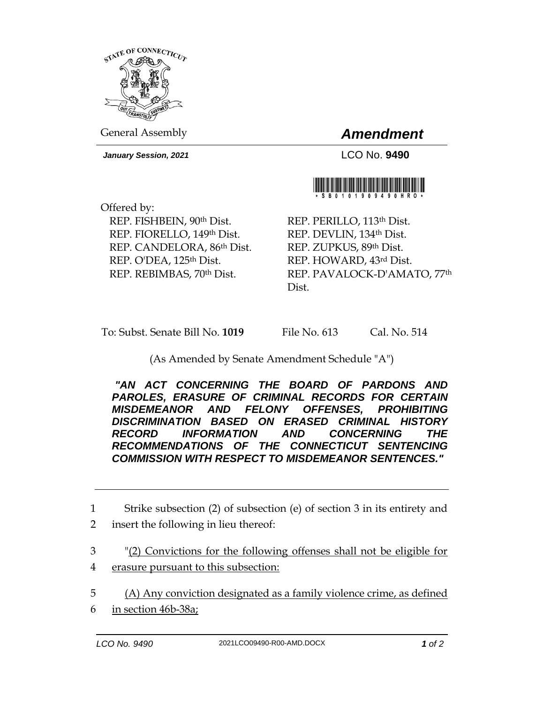

General Assembly *Amendment*

*January Session, 2021* LCO No. **9490**



Offered by: REP. FISHBEIN, 90th Dist. REP. FIORELLO, 149th Dist. REP. CANDELORA, 86th Dist. REP. O'DEA, 125th Dist. REP. REBIMBAS, 70th Dist.

REP. PERILLO, 113th Dist. REP. DEVLIN, 134th Dist. REP. ZUPKUS, 89th Dist. REP. HOWARD, 43rd Dist. REP. PAVALOCK-D'AMATO, 77th Dist.

To: Subst. Senate Bill No. **1019** File No. 613 Cal. No. 514

## (As Amended by Senate Amendment Schedule "A")

*"AN ACT CONCERNING THE BOARD OF PARDONS AND PAROLES, ERASURE OF CRIMINAL RECORDS FOR CERTAIN MISDEMEANOR AND FELONY OFFENSES, PROHIBITING DISCRIMINATION BASED ON ERASED CRIMINAL HISTORY RECORD INFORMATION AND CONCERNING THE RECOMMENDATIONS OF THE CONNECTICUT SENTENCING COMMISSION WITH RESPECT TO MISDEMEANOR SENTENCES."* 

6 in section 46b-38a;

<sup>1</sup> Strike subsection (2) of subsection (e) of section 3 in its entirety and 2 insert the following in lieu thereof:

<sup>3</sup> "(2) Convictions for the following offenses shall not be eligible for 4 erasure pursuant to this subsection:

<sup>5</sup> (A) Any conviction designated as a family violence crime, as defined